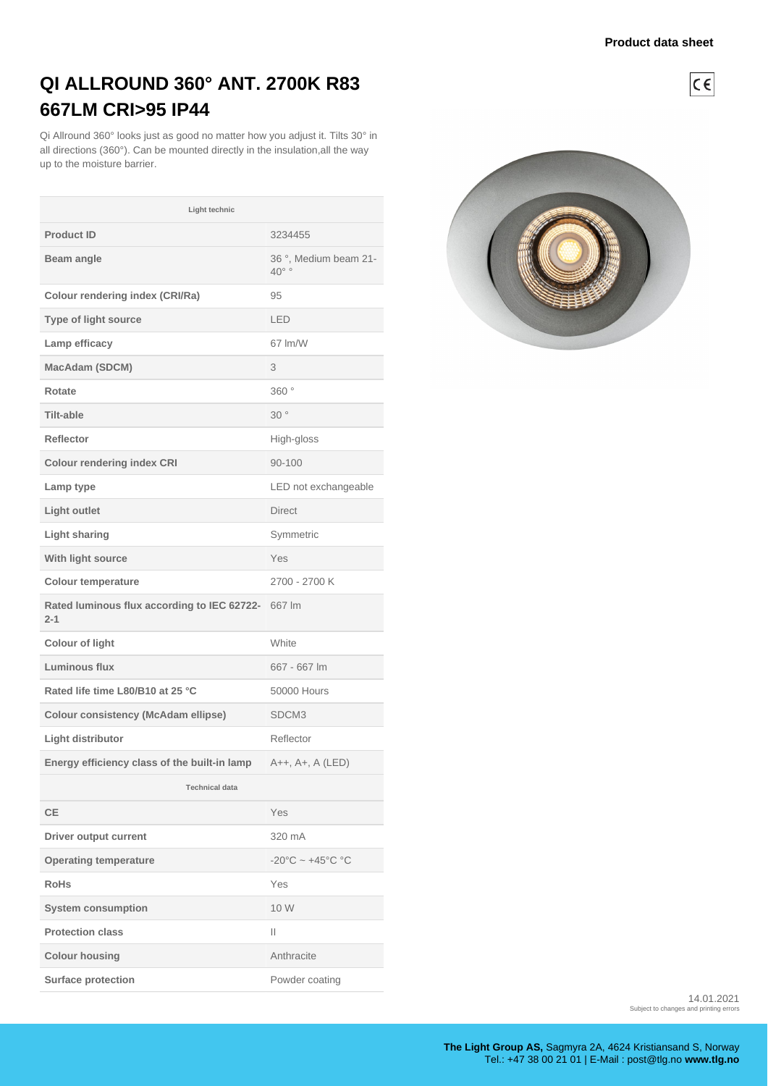$C \in$ 

## **QI ALLROUND 360° ANT. 2700K R83 667LM CRI>95 IP44**

Qi Allround 360° looks just as good no matter how you adjust it. Tilts 30° in all directions (360°). Can be mounted directly in the insulation,all the way up to the moisture barrier.

| Light technic                                          |                                                |  |
|--------------------------------------------------------|------------------------------------------------|--|
| <b>Product ID</b>                                      | 3234455                                        |  |
| Beam angle                                             | 36°, Medium beam 21-<br>$40^{\circ}$           |  |
| <b>Colour rendering index (CRI/Ra)</b>                 | 95                                             |  |
| <b>Type of light source</b>                            | LED                                            |  |
| Lamp efficacy                                          | 67 lm/W                                        |  |
| MacAdam (SDCM)                                         | 3                                              |  |
| Rotate                                                 | 360°                                           |  |
| <b>Tilt-able</b>                                       | 30°                                            |  |
| Reflector                                              | High-gloss                                     |  |
| <b>Colour rendering index CRI</b>                      | 90-100                                         |  |
| Lamp type                                              | LED not exchangeable                           |  |
| Light outlet                                           | <b>Direct</b>                                  |  |
| <b>Light sharing</b>                                   | Symmetric                                      |  |
| With light source                                      | Yes                                            |  |
| <b>Colour temperature</b>                              | 2700 - 2700 K                                  |  |
| Rated luminous flux according to IEC 62722-<br>$2 - 1$ | 667 lm                                         |  |
| <b>Colour of light</b>                                 | White                                          |  |
| Luminous flux                                          | 667 - 667 lm                                   |  |
| Rated life time L80/B10 at 25 °C                       | 50000 Hours                                    |  |
| <b>Colour consistency (McAdam ellipse)</b>             | SDCM3                                          |  |
| Light distributor                                      | Reflector                                      |  |
| Energy efficiency class of the built-in lamp           | A++, A+, A (LED)                               |  |
| <b>Technical data</b>                                  |                                                |  |
| <b>CE</b>                                              | Yes                                            |  |
| <b>Driver output current</b>                           | 320 mA                                         |  |
| <b>Operating temperature</b>                           | $-20^{\circ}$ C ~ $+45^{\circ}$ C $^{\circ}$ C |  |
| <b>RoHs</b>                                            | Yes                                            |  |
| <b>System consumption</b>                              | 10 W                                           |  |
| <b>Protection class</b>                                | Ш                                              |  |
| <b>Colour housing</b>                                  | Anthracite                                     |  |
| Surface protection                                     | Powder coating                                 |  |



14.01.2021 Subject to changes and printing errors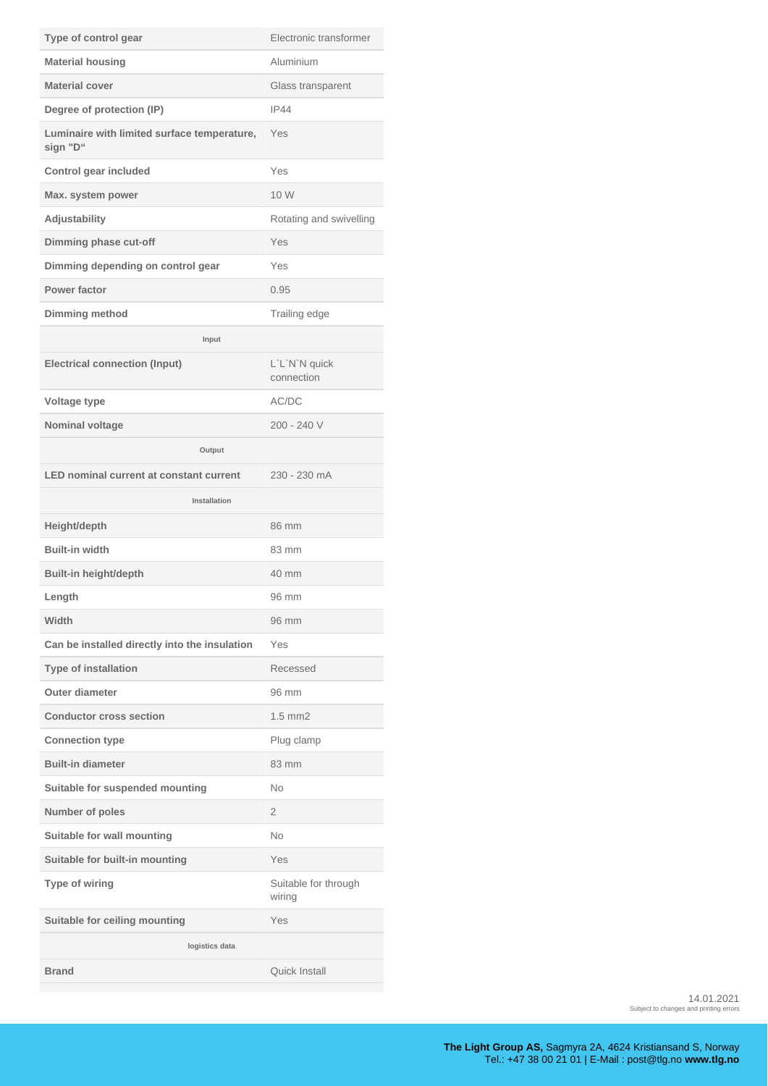| Type of control gear                                    | Electronic transformer         |  |
|---------------------------------------------------------|--------------------------------|--|
| <b>Material housing</b>                                 | Aluminium                      |  |
| <b>Material cover</b>                                   | Glass transparent              |  |
| Degree of protection (IP)                               | IP44                           |  |
| Luminaire with limited surface temperature,<br>sign "D" | Yes                            |  |
| <b>Control gear included</b>                            | Yes                            |  |
| Max. system power                                       | 10 W                           |  |
| Adjustability                                           | Rotating and swivelling        |  |
| Dimming phase cut-off                                   | Yes                            |  |
| Dimming depending on control gear                       | Yes                            |  |
| Power factor                                            | 0.95                           |  |
| Dimming method                                          | Trailing edge                  |  |
| Input                                                   |                                |  |
| <b>Electrical connection (Input)</b>                    | L'L'N'N quick<br>connection    |  |
| Voltage type                                            | AC/DC                          |  |
| Nominal voltage                                         | $200 - 240V$                   |  |
| Output                                                  |                                |  |
| <b>LED nominal current at constant current</b>          | 230 - 230 mA                   |  |
| Installation                                            |                                |  |
| Height/depth                                            | 86 mm                          |  |
| <b>Built-in width</b>                                   | 83 mm                          |  |
| Built-in height/depth                                   | 40 mm                          |  |
| Length                                                  | 96 mm                          |  |
| Width                                                   | 96 mm                          |  |
| Can be installed directly into the insulation           | Yes                            |  |
| <b>Type of installation</b>                             | Recessed                       |  |
| <b>Outer diameter</b>                                   | 96 mm                          |  |
| <b>Conductor cross section</b>                          | $1.5$ mm $2$                   |  |
| <b>Connection type</b>                                  | Plug clamp                     |  |
| <b>Built-in diameter</b>                                | 83 mm                          |  |
| Suitable for suspended mounting                         | No                             |  |
| Number of poles                                         | $\overline{2}$                 |  |
| Suitable for wall mounting                              | <b>No</b>                      |  |
| Suitable for built-in mounting                          | Yes                            |  |
| Type of wiring                                          | Suitable for through<br>wiring |  |
| Suitable for ceiling mounting                           | Yes                            |  |
| logistics data                                          |                                |  |
| <b>Brand</b>                                            | Quick Install                  |  |

14.01.2021 Subject to changes and printing errors